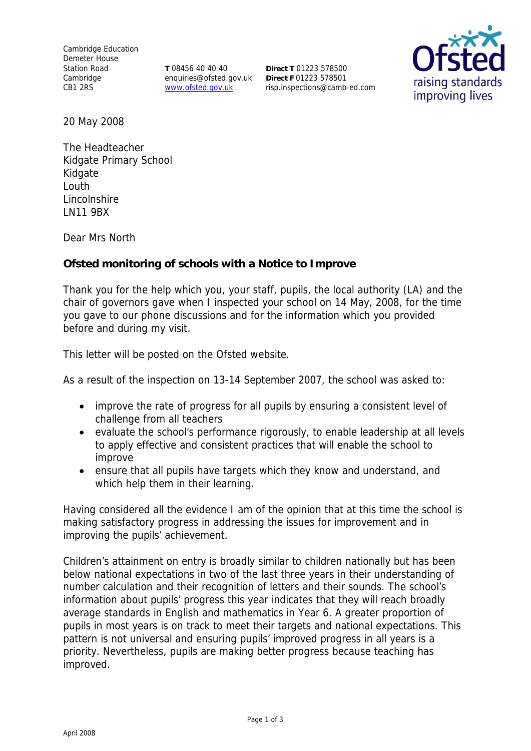Cambridge Education Demeter House Station Road **Cambridge** CB1 2RS

**T** 08456 40 40 40 enquiries@ofsted.gov.uk www.ofsted.gov.uk

**Direct T** 01223 578500 **Direct F** 01223 578501 risp.inspections@camb-ed.com



20 May 2008

The Headteacher Kidgate Primary School Kidgate Louth Lincolnshire LN11 9BX

Dear Mrs North

**Ofsted monitoring of schools with a Notice to Improve**

Thank you for the help which you, your staff, pupils, the local authority (LA) and the chair of governors gave when I inspected your school on 14 May, 2008, for the time you gave to our phone discussions and for the information which you provided before and during my visit.

This letter will be posted on the Ofsted website.

As a result of the inspection on 13-14 September 2007, the school was asked to:

- improve the rate of progress for all pupils by ensuring a consistent level of challenge from all teachers
- evaluate the school's performance rigorously, to enable leadership at all levels to apply effective and consistent practices that will enable the school to improve
- ensure that all pupils have targets which they know and understand, and which help them in their learning.

Having considered all the evidence I am of the opinion that at this time the school is making satisfactory progress in addressing the issues for improvement and in improving the pupils' achievement.

Children's attainment on entry is broadly similar to children nationally but has been below national expectations in two of the last three years in their understanding of number calculation and their recognition of letters and their sounds. The school's information about pupils' progress this year indicates that they will reach broadly average standards in English and mathematics in Year 6. A greater proportion of pupils in most years is on track to meet their targets and national expectations. This pattern is not universal and ensuring pupils' improved progress in all years is a priority. Nevertheless, pupils are making better progress because teaching has improved.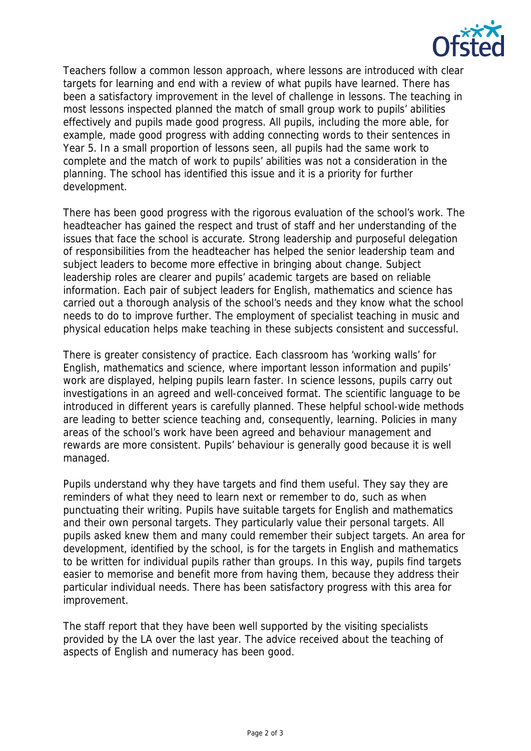

Teachers follow a common lesson approach, where lessons are introduced with clear targets for learning and end with a review of what pupils have learned. There has been a satisfactory improvement in the level of challenge in lessons. The teaching in most lessons inspected planned the match of small group work to pupils' abilities effectively and pupils made good progress. All pupils, including the more able, for example, made good progress with adding connecting words to their sentences in Year 5. In a small proportion of lessons seen, all pupils had the same work to complete and the match of work to pupils' abilities was not a consideration in the planning. The school has identified this issue and it is a priority for further development.

There has been good progress with the rigorous evaluation of the school's work. The headteacher has gained the respect and trust of staff and her understanding of the issues that face the school is accurate. Strong leadership and purposeful delegation of responsibilities from the headteacher has helped the senior leadership team and subject leaders to become more effective in bringing about change. Subject leadership roles are clearer and pupils' academic targets are based on reliable information. Each pair of subject leaders for English, mathematics and science has carried out a thorough analysis of the school's needs and they know what the school needs to do to improve further. The employment of specialist teaching in music and physical education helps make teaching in these subjects consistent and successful.

There is greater consistency of practice. Each classroom has 'working walls' for English, mathematics and science, where important lesson information and pupils' work are displayed, helping pupils learn faster. In science lessons, pupils carry out investigations in an agreed and well-conceived format. The scientific language to be introduced in different years is carefully planned. These helpful school-wide methods are leading to better science teaching and, consequently, learning. Policies in many areas of the school's work have been agreed and behaviour management and rewards are more consistent. Pupils' behaviour is generally good because it is well managed.

Pupils understand why they have targets and find them useful. They say they are reminders of what they need to learn next or remember to do, such as when punctuating their writing. Pupils have suitable targets for English and mathematics and their own personal targets. They particularly value their personal targets. All pupils asked knew them and many could remember their subject targets. An area for development, identified by the school, is for the targets in English and mathematics to be written for individual pupils rather than groups. In this way, pupils find targets easier to memorise and benefit more from having them, because they address their particular individual needs. There has been satisfactory progress with this area for improvement.

The staff report that they have been well supported by the visiting specialists provided by the LA over the last year. The advice received about the teaching of aspects of English and numeracy has been good.